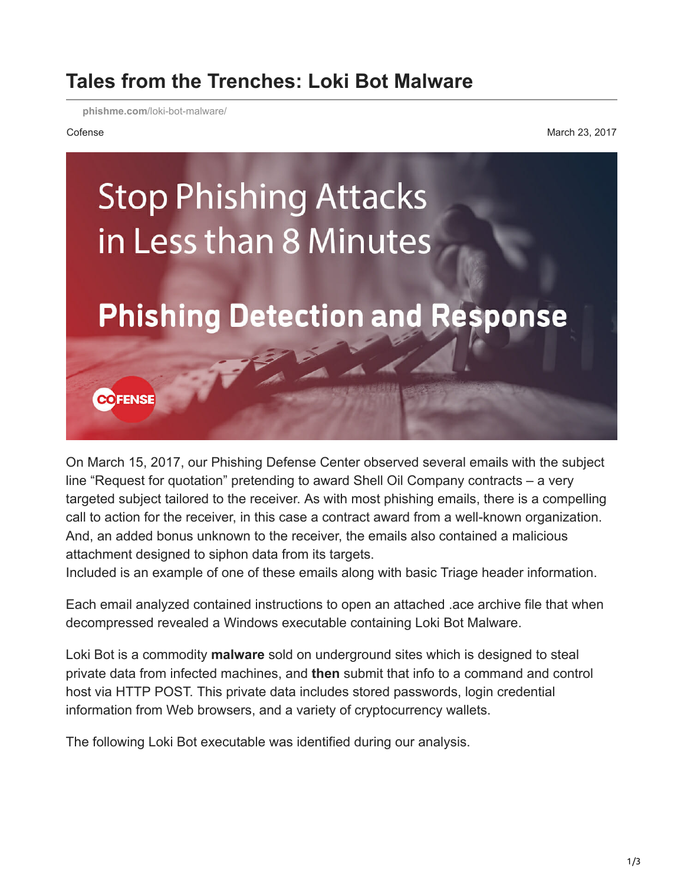## **Tales from the Trenches: Loki Bot Malware**

**phishme.com**[/loki-bot-malware/](https://phishme.com/loki-bot-malware/)

Cofense March 23, 2017



On March 15, 2017, our Phishing Defense Center observed several emails with the subject line "Request for quotation" pretending to award Shell Oil Company contracts – a very targeted subject tailored to the receiver. As with most phishing emails, there is a compelling call to action for the receiver, in this case a contract award from a well-known organization. And, an added bonus unknown to the receiver, the emails also contained a malicious attachment designed to siphon data from its targets.

Included is an example of one of these emails along with basic Triage header information.

Each email analyzed contained instructions to open an attached .ace archive file that when decompressed revealed a Windows executable containing Loki Bot Malware.

Loki Bot is a commodity **malware** sold on underground sites which is designed to steal private data from infected machines, and **then** submit that info to a command and control host via HTTP POST. This private data includes stored passwords, login credential information from Web browsers, and a variety of cryptocurrency wallets.

The following Loki Bot executable was identified during our analysis.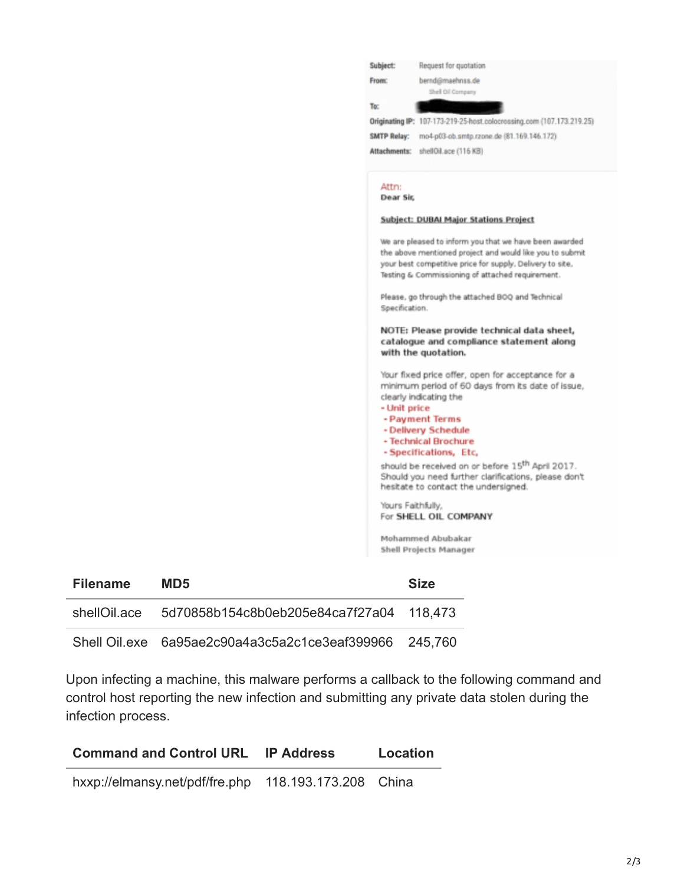|  | Yours Faithfully,<br>For SHELL OIL COMPANY                                                                            |
|--|-----------------------------------------------------------------------------------------------------------------------|
|  | hesitate to contact the undersigned.                                                                                  |
|  | should be received on or before 15 <sup>th</sup> April 2017.<br>Should you need further clarifications, please don't  |
|  | - Technical Brochure<br>- Specifications, Etc,                                                                        |
|  | - Payment Terms<br>- Delivery Schedule                                                                                |
|  | - Unit price                                                                                                          |
|  | minimum period of 60 days from its date of issue,<br>clearly indicating the                                           |
|  | Your fixed price offer, open for acceptance for a                                                                     |
|  | catalogue and compliance statement along<br>with the quotation.                                                       |
|  | NOTE: Please provide technical data sheet,                                                                            |
|  | Please, go through the attached BOQ and Technical<br>Specification.                                                   |
|  | Testing & Commissioning of attached requirement.                                                                      |
|  | the above mentioned project and would like you to submit<br>your best competitive price for supply. Delivery to site. |
|  | We are pleased to inform you that we have been awarded                                                                |
|  | Subject: DUBAI Major Stations Project                                                                                 |
|  | Attn:<br>Dear Sir,                                                                                                    |
|  | Attachments: shellOil.ace (116 KB)                                                                                    |
|  | SMTP Relay: mo4-p03-ob.smtp.rzone.de (81.169.146.172)                                                                 |
|  | Originating IP: 107-173-219-25-host.colocrossing.com (107.173.219.25)                                                 |
|  | Shell Oil Company<br>To:                                                                                              |
|  | bernd@maehnss.de<br>From:                                                                                             |

Shell Oil.exe 6a95ae2c90a4a3c5a2c1ce3eaf399966 245,760

Upon infecting a machine, this malware performs a callback to the following command and control host reporting the new infection and submitting any private data stolen during the infection process.

| <b>Command and Control URL</b>                       | <b>IP Address</b> | Location |
|------------------------------------------------------|-------------------|----------|
| hxxp://elmansy.net/pdf/fre.php 118.193.173.208 China |                   |          |